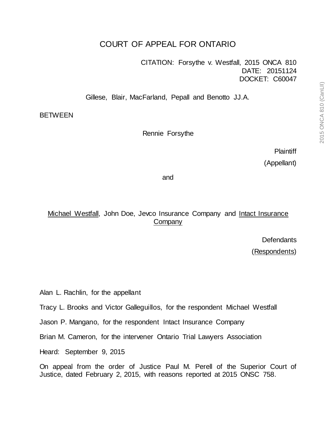# COURT OF APPEAL FOR ONTARIO

CITATION: Forsythe v. Westfall, 2015 ONCA 810 DATE: 20151124 DOCKET: C60047

Gillese, Blair, MacFarland, Pepall and Benotto JJ.A.

**BETWEEN** 

Rennie Forsythe

**Plaintiff** (Appellant)

and

Michael Westfall, John Doe, Jevco Insurance Company and Intact Insurance **Company** 

**Defendants** 

(Respondents)

Alan L. Rachlin, for the appellant

Tracy L. Brooks and Victor Galleguillos, for the respondent Michael Westfall

Jason P. Mangano, for the respondent Intact Insurance Company

Brian M. Cameron, for the intervener Ontario Trial Lawyers Association

Heard: September 9, 2015

On appeal from the order of Justice Paul M. Perell of the Superior Court of Justice, dated February 2, 2015, with reasons reported at 2015 ONSC 758.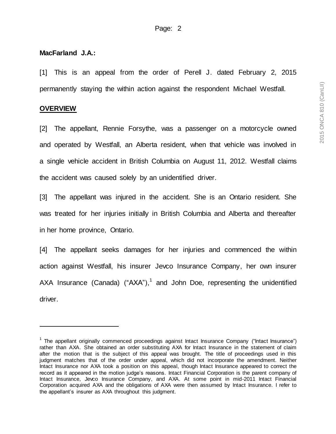## **MacFarland J.A.:**

[1] This is an appeal from the order of Perell J. dated February 2, 2015 permanently staying the within action against the respondent Michael Westfall.

## **OVERVIEW**

[2] The appellant, Rennie Forsythe, was a passenger on a motorcycle owned and operated by Westfall, an Alberta resident, when that vehicle was involved in a single vehicle accident in British Columbia on August 11, 2012. Westfall claims the accident was caused solely by an unidentified driver.

[3] The appellant was injured in the accident. She is an Ontario resident. She was treated for her injuries initially in British Columbia and Alberta and thereafter in her home province, Ontario.

[4] The appellant seeks damages for her injuries and commenced the within action against Westfall, his insurer Jevco Insurance Company, her own insurer AXA Insurance (Canada) ("AXA"),<sup>1</sup> and John Doe, representing the unidentified driver.

<sup>&</sup>lt;sup>1</sup> The appellant originally commenced proceedings against Intact Insurance Company ("Intact Insurance") rather than AXA. She obtained an order substituting AXA for Intact Insurance in the statement of claim after the motion that is the subject of this appeal was brought. The title of proceedings used in this judgment matches that of the order under appeal, which did not incorporate the amendment. Neither Intact Insurance nor AXA took a position on this appeal, though Intact Insurance appeared to correct the record as it appeared in the motion judge's reasons. Intact Financial Corporation is the parent company of Intact Insurance, Jevco Insurance Company, and AXA. At some point in mid-2011 Intact Financial Corporation acquired AXA and the obligations of AXA were then assumed by Intact Insurance. I refer to the appellant's insurer as AXA throughout this judgment.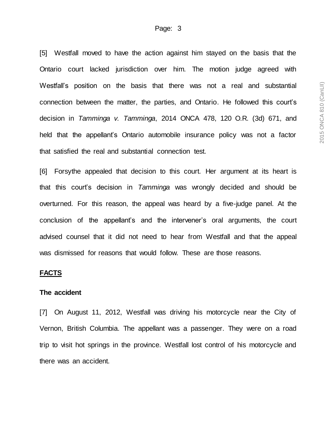[5] Westfall moved to have the action against him stayed on the basis that the Ontario court lacked jurisdiction over him. The motion judge agreed with Westfall's position on the basis that there was not a real and substantial connection between the matter, the parties, and Ontario. He followed this court's decision in *Tamminga v. Tamminga*, 2014 ONCA 478, 120 O.R. (3d) 671, and held that the appellant's Ontario automobile insurance policy was not a factor that satisfied the real and substantial connection test.

[6] Forsythe appealed that decision to this court. Her argument at its heart is that this court's decision in *Tamminga* was wrongly decided and should be overturned. For this reason, the appeal was heard by a five-judge panel. At the conclusion of the appellant's and the intervener's oral arguments, the court advised counsel that it did not need to hear from Westfall and that the appeal was dismissed for reasons that would follow. These are those reasons.

#### **FACTS**

#### **The accident**

[7] On August 11, 2012, Westfall was driving his motorcycle near the City of Vernon, British Columbia. The appellant was a passenger. They were on a road trip to visit hot springs in the province. Westfall lost control of his motorcycle and there was an accident.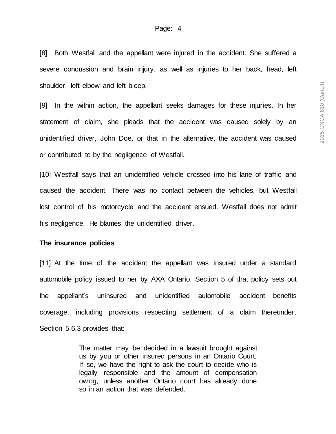[8] Both Westfall and the appellant were injured in the accident. She suffered a severe concussion and brain injury, as well as injuries to her back, head, left shoulder, left elbow and left bicep.

[9] In the within action, the appellant seeks damages for these injuries. In her statement of claim, she pleads that the accident was caused solely by an unidentified driver, John Doe, or that in the alternative, the accident was caused or contributed to by the negligence of Westfall.

[10] Westfall says that an unidentified vehicle crossed into his lane of traffic and caused the accident. There was no contact between the vehicles, but Westfall lost control of his motorcycle and the accident ensued. Westfall does not admit his negligence. He blames the unidentified driver.

#### **The insurance policies**

[11] At the time of the accident the appellant was insured under a standard automobile policy issued to her by AXA Ontario. Section 5 of that policy sets out the appellant's uninsured and unidentified automobile accident benefits coverage, including provisions respecting settlement of a claim thereunder. Section 5.6.3 provides that:

> The matter may be decided in a lawsuit brought against us by you or other insured persons in an Ontario Court. If so, we have the right to ask the court to decide who is legally responsible and the amount of compensation owing, unless another Ontario court has already done so in an action that was defended.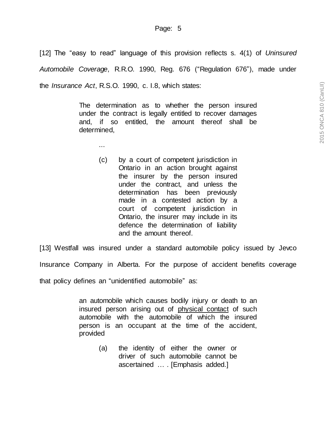[12] The "easy to read" language of this provision reflects s. 4(1) of *Uninsured Automobile Coverage*, R.R.O. 1990, Reg. 676 ("Regulation 676"), made under the *Insurance Act*, R.S.O. 1990, c. I.8, which states:

> The determination as to whether the person insured under the contract is legally entitled to recover damages and, if so entitled, the amount thereof shall be determined,

> > ...

(c) by a court of competent jurisdiction in Ontario in an action brought against the insurer by the person insured under the contract, and unless the determination has been previously made in a contested action by a court of competent jurisdiction in Ontario, the insurer may include in its defence the determination of liability and the amount thereof.

[13] Westfall was insured under a standard automobile policy issued by Jevco

Insurance Company in Alberta. For the purpose of accident benefits coverage

that policy defines an "unidentified automobile" as:

an automobile which causes bodily injury or death to an insured person arising out of physical contact of such automobile with the automobile of which the insured person is an occupant at the time of the accident, provided

> (a) the identity of either the owner or driver of such automobile cannot be ascertained … . [Emphasis added.]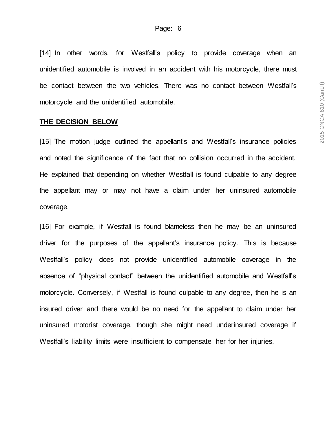[14] In other words, for Westfall's policy to provide coverage when an unidentified automobile is involved in an accident with his motorcycle, there must be contact between the two vehicles. There was no contact between Westfall's motorcycle and the unidentified automobile.

#### **THE DECISION BELOW**

[15] The motion judge outlined the appellant's and Westfall's insurance policies and noted the significance of the fact that no collision occurred in the accident. He explained that depending on whether Westfall is found culpable to any degree the appellant may or may not have a claim under her uninsured automobile coverage.

[16] For example, if Westfall is found blameless then he may be an uninsured driver for the purposes of the appellant's insurance policy. This is because Westfall's policy does not provide unidentified automobile coverage in the absence of "physical contact" between the unidentified automobile and Westfall's motorcycle. Conversely, if Westfall is found culpable to any degree, then he is an insured driver and there would be no need for the appellant to claim under her uninsured motorist coverage, though she might need underinsured coverage if Westfall's liability limits were insufficient to compensate her for her injuries.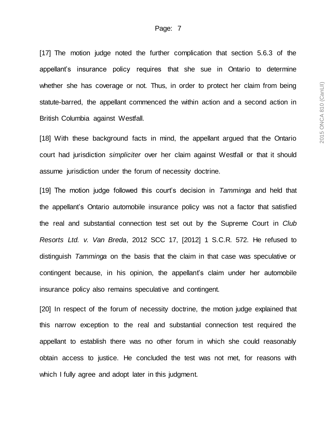[17] The motion judge noted the further complication that section 5.6.3 of the appellant's insurance policy requires that she sue in Ontario to determine whether she has coverage or not. Thus, in order to protect her claim from being statute-barred, the appellant commenced the within action and a second action in British Columbia against Westfall.

[18] With these background facts in mind, the appellant argued that the Ontario court had jurisdiction *simpliciter* over her claim against Westfall or that it should assume jurisdiction under the forum of necessity doctrine.

[19] The motion judge followed this court's decision in *Tamminga* and held that the appellant's Ontario automobile insurance policy was not a factor that satisfied the real and substantial connection test set out by the Supreme Court in *Club Resorts Ltd. v. Van Breda*, 2012 SCC 17, [2012] 1 S.C.R. 572. He refused to distinguish *Tamminga* on the basis that the claim in that case was speculative or contingent because, in his opinion, the appellant's claim under her automobile insurance policy also remains speculative and contingent.

[20] In respect of the forum of necessity doctrine, the motion judge explained that this narrow exception to the real and substantial connection test required the appellant to establish there was no other forum in which she could reasonably obtain access to justice. He concluded the test was not met, for reasons with which I fully agree and adopt later in this judgment.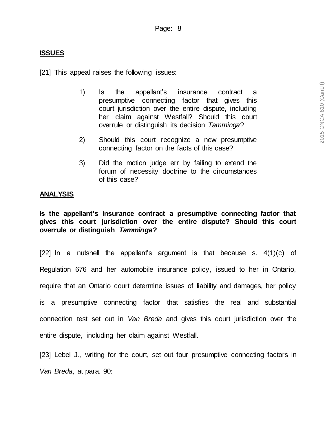## **ISSUES**

[21] This appeal raises the following issues:

- 1) Is the appellant's insurance contract a presumptive connecting factor that gives this court jurisdiction over the entire dispute, including her claim against Westfall? Should this court overrule or distinguish its decision *Tamminga*?
- 2) Should this court recognize a new presumptive connecting factor on the facts of this case?
- 3) Did the motion judge err by failing to extend the forum of necessity doctrine to the circumstances of this case?

### **ANALYSIS**

**Is the appellant's insurance contract a presumptive connecting factor that gives this court jurisdiction over the entire dispute? Should this court overrule or distinguish** *Tamminga***?**

[22] In a nutshell the appellant's argument is that because s. 4(1)(c) of Regulation 676 and her automobile insurance policy, issued to her in Ontario, require that an Ontario court determine issues of liability and damages, her policy is a presumptive connecting factor that satisfies the real and substantial connection test set out in *Van Breda* and gives this court jurisdiction over the entire dispute, including her claim against Westfall.

[23] Lebel J., writing for the court, set out four presumptive connecting factors in *Van Breda*, at para. 90: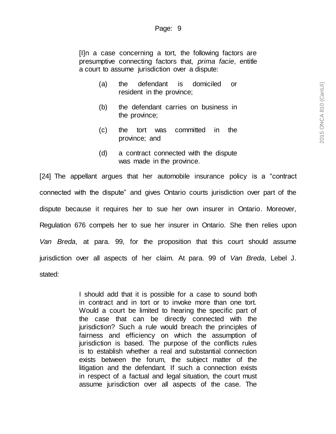[I]n a case concerning a tort, the following factors are presumptive connecting factors that, *prima facie*, entitle a court to assume jurisdiction over a dispute:

- (a) the defendant is domiciled or resident in the province;
- (b) the defendant carries on business in the province;
- (c) the tort was committed in the province; and
- (d) a contract connected with the dispute was made in the province.

[24] The appellant argues that her automobile insurance policy is a "contract connected with the dispute" and gives Ontario courts jurisdiction over part of the dispute because it requires her to sue her own insurer in Ontario. Moreover, Regulation 676 compels her to sue her insurer in Ontario. She then relies upon *Van Breda*, at para. 99, for the proposition that this court should assume jurisdiction over all aspects of her claim. At para. 99 of *Van Breda*, Lebel J. stated:

> I should add that it is possible for a case to sound both in contract and in tort or to invoke more than one tort. Would a court be limited to hearing the specific part of the case that can be directly connected with the jurisdiction? Such a rule would breach the principles of fairness and efficiency on which the assumption of jurisdiction is based. The purpose of the conflicts rules is to establish whether a real and substantial connection exists between the forum, the subject matter of the litigation and the defendant. If such a connection exists in respect of a factual and legal situation, the court must assume jurisdiction over all aspects of the case. The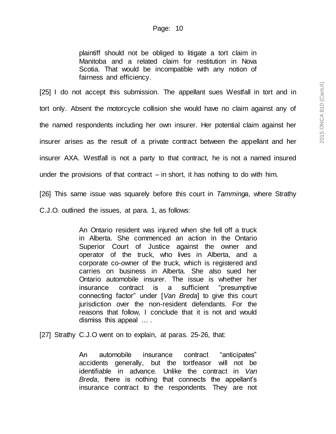plaintiff should not be obliged to litigate a tort claim in Manitoba and a related claim for restitution in Nova Scotia. That would be incompatible with any notion of fairness and efficiency.

[25] I do not accept this submission. The appellant sues Westfall in tort and in tort only. Absent the motorcycle collision she would have no claim against any of the named respondents including her own insurer. Her potential claim against her insurer arises as the result of a private contract between the appellant and her insurer AXA. Westfall is not a party to that contract, he is not a named insured under the provisions of that contract  $-$  in short, it has nothing to do with him.

[26] This same issue was squarely before this court in *Tamminga*, where Strathy

C.J.O. outlined the issues, at para. 1, as follows:

An Ontario resident was injured when she fell off a truck in Alberta. She commenced an action in the Ontario Superior Court of Justice against the owner and operator of the truck, who lives in Alberta, and a corporate co-owner of the truck, which is registered and carries on business in Alberta. She also sued her Ontario automobile insurer. The issue is whether her insurance contract is a sufficient "presumptive connecting factor" under [*Van Breda*] to give this court jurisdiction over the non-resident defendants. For the reasons that follow, I conclude that it is not and would dismiss this appeal … .

[27] Strathy C.J.O went on to explain, at paras. 25-26, that:

An automobile insurance contract "anticipates" accidents generally, but the tortfeasor will not be identifiable in advance. Unlike the contract in *Van Breda*, there is nothing that connects the appellant's insurance contract to the respondents. They are not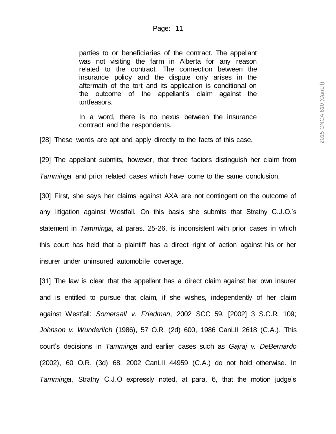parties to or beneficiaries of the contract. The appellant was not visiting the farm in Alberta for any reason related to the contract. The connection between the insurance policy and the dispute only arises in the aftermath of the tort and its application is conditional on the outcome of the appellant's claim against the tortfeasors.

In a word, there is no nexus between the insurance contract and the respondents.

[28] These words are apt and apply directly to the facts of this case.

[29] The appellant submits, however, that three factors distinguish her claim from

*Tamminga* and prior related cases which have come to the same conclusion.

[30] First, she says her claims against AXA are not contingent on the outcome of any litigation against Westfall. On this basis she submits that Strathy C.J.O.'s statement in *Tamminga*, at paras. 25-26, is inconsistent with prior cases in which this court has held that a plaintiff has a direct right of action against his or her insurer under uninsured automobile coverage.

[31] The law is clear that the appellant has a direct claim against her own insurer and is entitled to pursue that claim, if she wishes, independently of her claim against Westfall: *Somersall v. Friedman*, 2002 SCC 59, [2002] 3 S.C.R. 109; *Johnson v. Wunderlich* (1986), 57 O.R. (2d) 600, 1986 CanLII 2618 (C.A.). This court's decisions in *Tamminga* and earlier cases such as *Gajraj v. DeBernardo* (2002), 60 O.R. (3d) 68, 2002 CanLII 44959 (C.A.) do not hold otherwise. In *Tamminga*, Strathy C.J.O expressly noted, at para. 6, that the motion judge's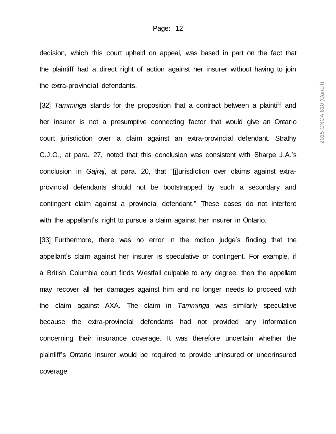decision, which this court upheld on appeal, was based in part on the fact that the plaintiff had a direct right of action against her insurer without having to join the extra-provincial defendants.

[32] *Tamminga* stands for the proposition that a contract between a plaintiff and her insurer is not a presumptive connecting factor that would give an Ontario court jurisdiction over a claim against an extra-provincial defendant. Strathy C.J.O., at para. 27, noted that this conclusion was consistent with Sharpe J.A.'s conclusion in *Gajraj*, at para. 20, that "[j]urisdiction over claims against extraprovincial defendants should not be bootstrapped by such a secondary and contingent claim against a provincial defendant." These cases do not interfere with the appellant's right to pursue a claim against her insurer in Ontario.

[33] Furthermore, there was no error in the motion judge's finding that the appellant's claim against her insurer is speculative or contingent. For example, if a British Columbia court finds Westfall culpable to any degree, then the appellant may recover all her damages against him and no longer needs to proceed with the claim against AXA. The claim in *Tamminga* was similarly speculative because the extra-provincial defendants had not provided any information concerning their insurance coverage. It was therefore uncertain whether the plaintiff's Ontario insurer would be required to provide uninsured or underinsured coverage.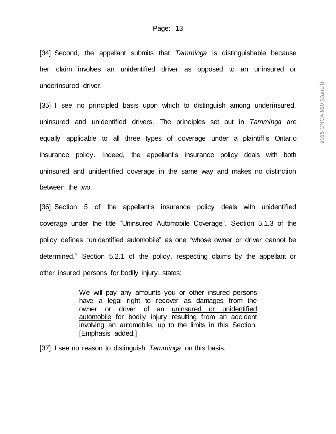[34] Second, the appellant submits that *Tamminga* is distinguishable because her claim involves an unidentified driver as opposed to an uninsured or underinsured driver.

[35] I see no principled basis upon which to distinguish among underinsured, uninsured and unidentified drivers. The principles set out in *Tamminga* are equally applicable to all three types of coverage under a plaintiff's Ontario insurance policy. Indeed, the appellant's insurance policy deals with both uninsured and unidentified coverage in the same way and makes no distinction between the two.

[36] Section 5 of the appellant's insurance policy deals with unidentified coverage under the title "Uninsured Automobile Coverage". Section 5.1.3 of the policy defines "unidentified automobile" as one "whose owner or driver cannot be determined." Section 5.2.1 of the policy, respecting claims by the appellant or other insured persons for bodily injury, states:

> We will pay any amounts you or other insured persons have a legal right to recover as damages from the owner or driver of an uninsured or unidentified automobile for bodily injury resulting from an accident involving an automobile, up to the limits in this Section. [Emphasis added.]

[37] I see no reason to distinguish *Tamminga* on this basis.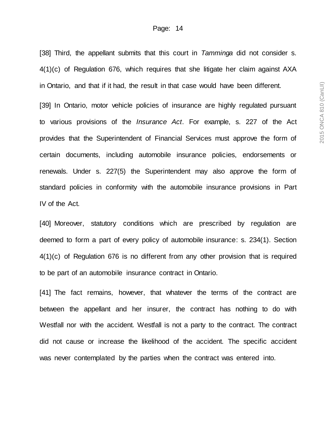[38] Third, the appellant submits that this court in *Tamminga* did not consider s. 4(1)(c) of Regulation 676, which requires that she litigate her claim against AXA in Ontario, and that if it had, the result in that case would have been different.

[39] In Ontario, motor vehicle policies of insurance are highly regulated pursuant to various provisions of the *Insurance Act*. For example, s. 227 of the Act provides that the Superintendent of Financial Services must approve the form of certain documents, including automobile insurance policies, endorsements or renewals. Under s. 227(5) the Superintendent may also approve the form of standard policies in conformity with the automobile insurance provisions in Part IV of the Act.

[40] Moreover, statutory conditions which are prescribed by regulation are deemed to form a part of every policy of automobile insurance: s. 234(1). Section 4(1)(c) of Regulation 676 is no different from any other provision that is required to be part of an automobile insurance contract in Ontario.

[41] The fact remains, however, that whatever the terms of the contract are between the appellant and her insurer, the contract has nothing to do with Westfall nor with the accident. Westfall is not a party to the contract. The contract did not cause or increase the likelihood of the accident. The specific accident was never contemplated by the parties when the contract was entered into.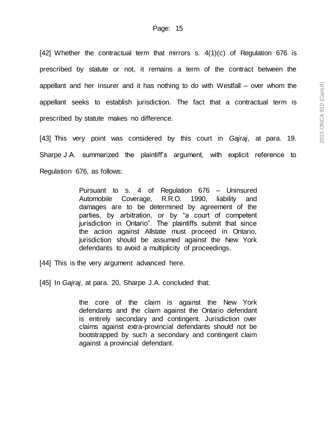[42] Whether the contractual term that mirrors s.  $4(1)(c)$  of Regulation 676 is prescribed by statute or not, it remains a term of the contract between the appellant and her insurer and it has nothing to do with Westfall – over whom the appellant seeks to establish jurisdiction. The fact that a contractual term is prescribed by statute makes no difference.

[43] This very point was considered by this court in *Gajraj*, at para. 19. Sharpe J.A. summarized the plaintiff's argument, with explicit reference to Regulation 676, as follows:

> Pursuant to s. 4 of Regulation 676 – Uninsured Automobile Coverage, R.R.O. 1990, liability and damages are to be determined by agreement of the parties, by arbitration, or by "a court of competent jurisdiction in Ontario". The plaintiffs submit that since the action against Allstate must proceed in Ontario, jurisdiction should be assumed against the New York defendants to avoid a multiplicity of proceedings.

[44] This is the very argument advanced here.

[45] In *Gajraj*, at para. 20, Sharpe J.A. concluded that:

the core of the claim is against the New York defendants and the claim against the Ontario defendant is entirely secondary and contingent. Jurisdiction over claims against extra-provincial defendants should not be bootstrapped by such a secondary and contingent claim against a provincial defendant.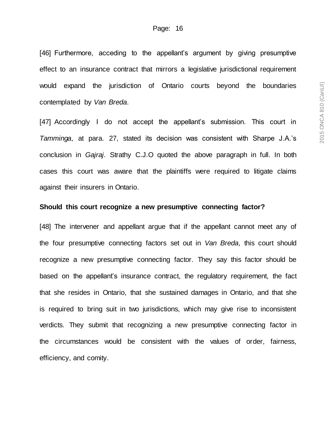[46] Furthermore, acceding to the appellant's argument by giving presumptive effect to an insurance contract that mirrors a legislative jurisdictional requirement would expand the jurisdiction of Ontario courts beyond the boundaries contemplated by *Van Breda*.

[47] Accordingly I do not accept the appellant's submission. This court in *Tamminga*, at para. 27, stated its decision was consistent with Sharpe J.A.'s conclusion in *Gajraj*. Strathy C.J.O quoted the above paragraph in full. In both cases this court was aware that the plaintiffs were required to litigate claims against their insurers in Ontario.

#### **Should this court recognize a new presumptive connecting factor?**

[48] The intervener and appellant argue that if the appellant cannot meet any of the four presumptive connecting factors set out in *Van Breda*, this court should recognize a new presumptive connecting factor. They say this factor should be based on the appellant's insurance contract, the regulatory requirement, the fact that she resides in Ontario, that she sustained damages in Ontario, and that she is required to bring suit in two jurisdictions, which may give rise to inconsistent verdicts. They submit that recognizing a new presumptive connecting factor in the circumstances would be consistent with the values of order, fairness, efficiency, and comity.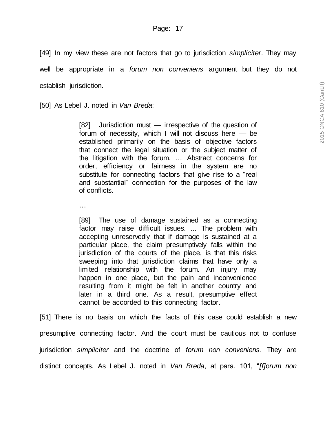[49] In my view these are not factors that go to jurisdiction *simpliciter*. They may well be appropriate in a *forum non conveniens* argument but they do not establish jurisdiction.

[50] As Lebel J. noted in *Van Breda*:

[82] Jurisdiction must — irrespective of the question of forum of necessity, which I will not discuss here — be established primarily on the basis of objective factors that connect the legal situation or the subject matter of the litigation with the forum. … Abstract concerns for order, efficiency or fairness in the system are no substitute for connecting factors that give rise to a "real and substantial" connection for the purposes of the law of conflicts.

…

[89] The use of damage sustained as a connecting factor may raise difficult issues. ... The problem with accepting unreservedly that if damage is sustained at a particular place, the claim presumptively falls within the jurisdiction of the courts of the place, is that this risks sweeping into that jurisdiction claims that have only a limited relationship with the forum. An injury may happen in one place, but the pain and inconvenience resulting from it might be felt in another country and later in a third one. As a result, presumptive effect cannot be accorded to this connecting factor.

[51] There is no basis on which the facts of this case could establish a new presumptive connecting factor. And the court must be cautious not to confuse jurisdiction *simpliciter* and the doctrine of *forum non conveniens*. They are distinct concepts. As Lebel J. noted in *Van Breda*, at para. 101, "*[f]*o*rum non*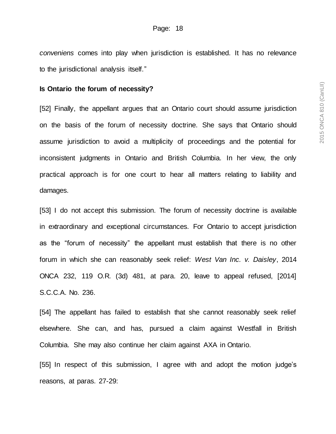*conveniens* comes into play when jurisdiction is established. It has no relevance to the jurisdictional analysis itself."

#### **Is Ontario the forum of necessity?**

[52] Finally, the appellant argues that an Ontario court should assume jurisdiction on the basis of the forum of necessity doctrine. She says that Ontario should assume jurisdiction to avoid a multiplicity of proceedings and the potential for inconsistent judgments in Ontario and British Columbia. In her view, the only practical approach is for one court to hear all matters relating to liability and damages.

[53] I do not accept this submission. The forum of necessity doctrine is available in extraordinary and exceptional circumstances. For Ontario to accept jurisdiction as the "forum of necessity" the appellant must establish that there is no other forum in which she can reasonably seek relief: *West Van Inc. v. Daisley*, 2014 ONCA 232, 119 O.R. (3d) 481, at para. 20, leave to appeal refused, [2014] S.C.C.A. No. 236.

[54] The appellant has failed to establish that she cannot reasonably seek relief elsewhere. She can, and has, pursued a claim against Westfall in British Columbia. She may also continue her claim against AXA in Ontario.

[55] In respect of this submission, I agree with and adopt the motion judge's reasons, at paras. 27-29: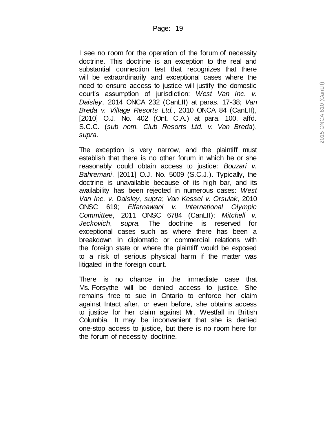I see no room for the operation of the forum of necessity doctrine. This doctrine is an exception to the real and substantial connection test that recognizes that there will be extraordinarily and exceptional cases where the need to ensure access to justice will justify the domestic court's assumption of jurisdiction: *West Van Inc. v. Daisley*, 2014 ONCA 232 (CanLII) at paras. 17 -38; *Van Breda v. Village Resorts Ltd.*, 2010 ONCA 84 (CanLII), [2010] O.J. No. 402 (Ont. C.A.) at para. 100, affd. S.C.C. (*sub nom. Club Resorts Ltd. v. Van Breda*), *supra* .

The exception is very narrow, and the plaintiff must establish that there is no other forum in which he or she reasonably could obtain access to justice: *Bouzari v. Bahremani*, [2011] O.J. No. 5009 (S.C.J.). Typically, the doctrine is unavailable because of its high bar, and its availability has been rejected in numerous cases: *West Van Inc. v. Daisley, supra*; *Van Kessel v. Orsulak*, 2010 ONSC 619; *Elfarnawani v. International Olympic Committee*, 2011 ONSC 6784 (CanLII); *Mitchell v. Jeckovich*, *supra*. The doctrine is reserved for exceptional cases such as where there has been a breakdown in diplomatic or commercial relations with the foreign state or where the plaintiff would be exposed to a risk of serious physical harm if the matter was litigated in the foreign court.

There is no chance in the immediate case that Ms. Forsythe will be denied access to justice. She remains free to sue in Ontario to enforce her claim against Intact after, or even before, she obtains access to justice for her claim against Mr. Westfall in British Columbia. It may be inconvenient that she is denied one -stop access to justice, but there is no room here for the forum of necessity doctrine.